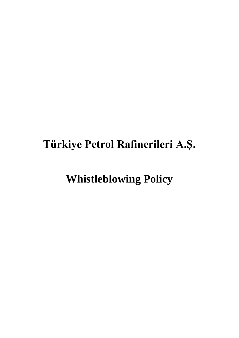## **Türkiye Petrol Rafinerileri A.Ş.**

# **Whistleblowing Policy**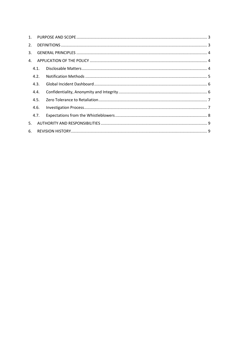| 1. |      |  |  |
|----|------|--|--|
| 2. |      |  |  |
| 3. |      |  |  |
| 4. |      |  |  |
|    | 4.1. |  |  |
|    | 4.2. |  |  |
|    | 4.3. |  |  |
|    | 4.4. |  |  |
|    | 4.5. |  |  |
|    | 4.6. |  |  |
|    | 4.7. |  |  |
| 5. |      |  |  |
| 6. |      |  |  |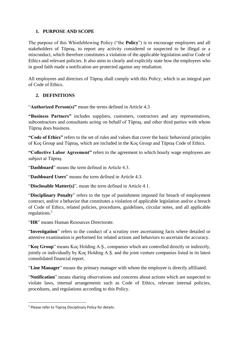#### <span id="page-2-0"></span>**1. PURPOSE AND SCOPE**

The purpose of this Whistleblowing Policy ("the **Policy**") is to encourage employees and all stakeholders of Tüpraş, to report any activity considered or suspected to be illegal or a misconduct, which therefore constitutes a violation of the applicable legislation and/or Code of Ethics and relevant policies. It also aims to clearly and explicitly state how the employees who in good faith made a notification are protected against any retaliation.

All employees and directors of Tüpraş shall comply with this Policy, which is an integral part of Code of Ethics.

### <span id="page-2-1"></span>**2. DEFINITIONS**

"**Authorized Person(s)"** mean the terms defined in Article 4.3

**"Business Partners"** includes suppliers, customers, contractors and any representatives, subcontractors and consultants acting on behalf of Tüpraş, and other third parties with whom Tüpraş does business.

**"Code of Ethics"** refers to the set of rules and values that cover the basic behavioral principles of Koç Group and Tüpraş, which are included in the Koç Group and Tüpraş Code of Ethics.

**"Collective Labor Agreement"** refers to the agreement to which hourly wage employees are subject at Tüpraş.

"**Dashboard**" means the term defined in Article 4.3.

"**Dashboard Users**" means the term defined in Article 4.3.

"**Disclosable Matter(s)**", mean the term defined in Article 4.1.

"**Disciplinary Penalty**" refers to the type of punishment imposed for breach of employment contract, and/or a behavior that constitutes a violation of applicable legislation and/or a breach of Code of Ethics, related policies, procedures, guidelines, circular notes, and all applicable regulations. 1

"**HR**" means Human Resources Directorate.

"**Investigation**" refers to the conduct of a scrutiny over ascertaining facts where detailed or attentive examination is performed for related actions and behaviors to ascertain the accuracy.

"**Koç Group**" means Koç Holding A.Ş., companies which are controlled directly or indirectly, jointly or individually by Koç Holding A.Ş. and the joint venture companies listed in its latest consolidated financial report.

"**Line Manager**" means the primary manager with whom the employee is directly affiliated.

"**Notification**" means sharing observations and concerns about actions which are suspected to violate laws, internal arrangements such as Code of Ethics, relevant internal policies, procedures, and regulations according to this Policy.

<sup>1</sup> Please refer to Tüpraş Disciplinary Policy for details.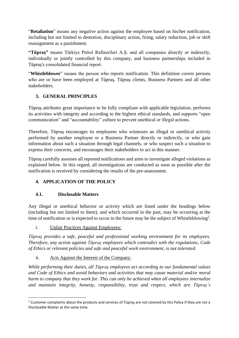"**Retaliation**" means any negative action against the employee based on his/her notification, including but not limited to demotion, disciplinary action, firing, salary reduction, job or shift reassignment as a punishment.

**"Tüpraş"** means Türkiye Petrol Rafinerileri A.Ş. and all companies directly or indirectly, individually or jointly controlled by this company, and business partnerships included in Tüpraş's consolidated financial report.

"**Whistleblower**" means the person who reports notification. This definition covers persons who are or have been employed at Tüpraş, Tüpraş clients, Business Partners and all other stakeholders.

### <span id="page-3-0"></span>**3. GENERAL PRINCIPLES**

Tüpraş attributes great importance to be fully compliant with applicable legislation, performs its activities with integrity and according to the highest ethical standards, and supports "open communication" and "accountability" culture to prevent unethical or illegal actions.

Therefore, Tüpraş encourages its employees who witnesses an illegal or unethical activity performed by another employee or a Business Partner directly or indirectly, or who gain information about such a situation through legal channels, or who suspect such a situation to express their concerns, and encourages their stakeholders to act in this manner.

Tüpraş carefully assesses all reported notifications and aims to investigate alleged violations as explained below. In this regard, all investigations are conducted as soon as possible after the notification is received by considering the results of the pre-assessment.

## <span id="page-3-1"></span>**4. APPLICATION OF THE POLICY**

### <span id="page-3-2"></span>**4.1. Disclosable Matters**

Any illegal or unethical behavior or activity which are listed under the headings below (including but not limited to them), and which occurred in the past, may be occurring at the time of notification or is expected to occur in the future may be the subject of Whistleblowing<sup>2</sup>.

i. Unfair Practices Against Employees:

*Tüpraş provides a safe, peaceful and professional working environment for its employees. Therefore, any action against Tüpraş employees which contradict with the regulations, Code of Ethics or relevant policies and safe and peaceful work environment, is not tolerated.*

ii. Acts Against the Interest of the Company:

*While performing their duties, all Tüpraş employees act according to our fundamental values and Code of Ethics and avoid behaviors and activities that may cause material and/or moral harm to company that they work for. This can only be achieved when all employees internalize and maintain integrity, honesty, responsibility, trust and respect, which are Tüpraş's*

 $2$  Customer complaints about the products and services of Tüpras are not covered by this Policy if they are not a Disclosable Matter at the same time.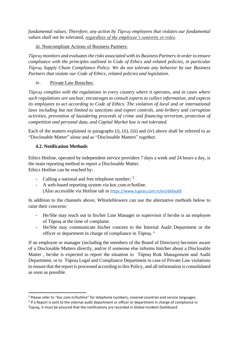*fundamental values. Therefore, any action by Tüpraş employees that violates our fundamental values shall not be tolerated, regardless of the employee's seniority or roles.*

iii. Noncompliant Actions of Business Partners:

*Tüpraş monitors and evaluates the risks associated with its Business Partners in order to ensure compliance with the principles outlined in Code of Ethics and related policies, in particular Tüpraş Supply Chain Compliance Policy. We do not tolerate any behavior by our Business Partners that violate our Code of Ethics, related policies and legislation.*

iv. Private Law Breaches:

*Tüpraş complies with the regulations in every country where it operates, and in cases where such regulations are unclear, encourages to consult experts to collect information, and expects its employees to act according to Code of Ethics. The violation of local and or international laws including but not limited to sanctions and export controls, anti-bribery and corruption activities, prevention of laundering proceeds of crime and financing terrorism, protection of competition and personal data, and Capital Market law is not tolerated.*

Each of the matters explained in paragraphs (i), (ii), (iii) and (iv) above shall be referred to as "Disclosable Matter" alone and as "Disclosable Matters" together.

### <span id="page-4-0"></span>**4.2. Notification Methods**

Ethics Hotline, operated by independent service providers 7 days a week and 24 hours a day, is the main reporting method to report a Disclosable Matter. Ethics Hotline can be reached by:

- Calling a national and free telephone number; <sup>3</sup>
- A web-based reporting system via koc.com.tr/hotline. (Also accessible via Hotline tab in [https://www.tupras.com.tr/en/default\)](https://www.tupras.com.tr/en/default)

In addition to the channels above, Whistleblowers can use the alternative methods below to raise their concerns:

- He/She may reach out to his/her Line Manager or supervisor if he/she is an employee of Tüpraş at the time of complaint.
- He/She may communicate his/her concern to the Internal Audit Department or the officer or department in charge of compliance in Tüpraş. 4

If an employee or manager (including the members of the Board of Directors) becomes aware of a Disclosable Matters directly, and/or if someone else informs him/her about a Disclosable Matter , he/she is expected to report the situation to Tüpraş Risk Management and Audit Department, or to Tüpraş Legal and Compliance Department in case of Private Law violations to ensure that the report is processed according to this Policy, and all information is consolidated as soon as possible.

<sup>&</sup>lt;sup>3</sup> Please refer to "koc.com.tr/hotline" for telephone numbers, covered countries and service languages.

<sup>&</sup>lt;sup>4</sup> If a Report is sent to the internal audit department or officer or department in charge of compliance in Tüpraş, it must be ensured that the notifications are recorded in Global Incident Dashboard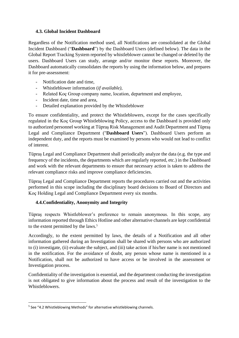#### <span id="page-5-0"></span>**4.3. Global Incident Dashboard**

Regardless of the Notification method used, all Notifications are consolidated at the Global Incident Dashboard ("**Dashboard**") by the Dashboard Users (defined below). The data in the Global Report Tracking System reported by whistleblower cannot be changed or deleted by the users. Dashboard Users can study, arrange and/or monitor these reports. Moreover, the Dashboard automatically consolidates the reports by using the information below, and prepares it for pre-assessment:

- Notification date and time,
- Whistleblower information (*if available)*,
- Related Koç Group company name, location, department and employee,
- Incident date, time and area,
- Detailed explanation provided by the Whistleblower

To ensure confidentiality, and protect the Whistleblowers, except for the cases specifically regulated in the Koç Group Whistleblowing Policy, access to the Dashboard is provided only to authorized personnel working at Tüpraş Risk Management and Audit Department and Tüpraş Legal and Compliance Department ("**Dashboard Users**"). Dashboard Users perform an independent duty, and the reports must be examined by persons who would not lead to conflict of interest.

Tüpraş Legal and Compliance Department shall periodically analyze the data (e.g. the type and frequency of the incidents, the departments which are regularly reported, etc.) in the Dashboard and work with the relevant departments to ensure that necessary action is taken to address the relevant compliance risks and improve compliance deficiencies.

Tüpraş Legal and Compliance Department reports the procedures carried out and the activities performed in this scope including the disciplinary board decisions to Board of Directors and Koç Holding Legal and Compliance Department every six months.

## <span id="page-5-1"></span>**4.4.Confidentiality, Anonymity and Integrity**

Tüpraş respects Whistleblower's preference to remain anonymous. In this scope, any information reported through Ethics Hotline and other alternative channels are kept confidential to the extent permitted by the laws.<sup>5</sup>

Accordingly, to the extent permitted by laws, the details of a Notification and all other information gathered during an Investigation shall be shared with persons who are authorized to (i) investigate, (ii) evaluate the subject, and (iii) take action if his/her name is not mentioned in the notification. For the avoidance of doubt, any person whose name is mentioned in a Notification, shall not be authorized to have access or be involved in the assessment or Investigation process.

Confidentiality of the investigation is essential, and the department conducting the investigation is not obligated to give information about the process and result of the investigation to the Whistleblowers.

<sup>&</sup>lt;sup>5</sup> See "4.2 Whistleblowing Methods" for alternative whistleblowing channels.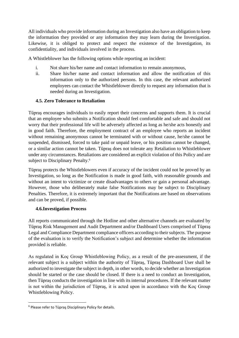All individuals who provide information during an Investigation also have an obligation to keep the information they provided or any information they may learn during the Investigation. Likewise, it is obliged to protect and respect the existence of the Investigation, its confidentiality, and individuals involved in the process.

A Whistleblower has the following options while reporting an incident:

- i. Not share his/her name and contact information to remain anonymous,
- ii. Share his/her name and contact information and allow the notification of this information only to the authorized persons. In this case, the relevant authorized employees can contact the Whistleblower directly to request any information that is needed during an Investigation.

#### <span id="page-6-0"></span>**4.5. Zero Tolerance to Retaliation**

Tüpraş encourages individuals to easily report their concerns and supports them. It is crucial that an employee who submits a Notification should feel comfortable and safe and should not worry that their professional life will be adversely affected as long as he/she acts honestly and in good faith. Therefore, the employment contract of an employee who reports an incident without remaining anonymous cannot be terminated with or without cause, he/she cannot be suspended, dismissed, forced to take paid or unpaid leave, or his position cannot be changed, or a similar action cannot be taken. Tüpraş does not tolerate any Retaliation to Whistleblower under any circumstances. Retaliations are considered an explicit violation of this Policy and are subject to Disciplinary Penalty.<sup>6</sup>

Tüpraş protects the Whistleblowers even if accuracy of the incident could not be proved by an Investigation, so long as the Notification is made in good faith, with reasonable grounds and without an intent to victimize or create disadvantages to others or gain a personal advantage. However, those who deliberately make false Notifications may be subject to Disciplinary Penalties. Therefore, it is extremely important that the Notifications are based on observations and can be proved, if possible.

#### <span id="page-6-1"></span>**4.6.Investigation Process**

All reports communicated through the Hotline and other alternative channels are evaluated by Tüpraş Risk Management and Audit Department and/or Dashboard Users comprised of Tüpraş Legal and Compliance Department compliance officers according to their subjects. The purpose of the evaluation is to verify the Notification's subject and determine whether the information provided is reliable.

As regulated in Koç Group Whistleblowing Policy, as a result of the pre-assessment, if the relevant subject is a subject within the authority of Tüpraş, Tüpraş Dashboard User shall be authorized to investigate the subject in depth, in other words, to decide whether an Investigation should be started or the case should be closed. If there is a need to conduct an Investigation, then Tüpraş conducts the investigation in line with its internal procedures. If the relevant matter is not within the jurisdiction of Tüpraş, it is acted upon in accordance with the Koç Group Whistleblowing Policy.

<sup>6</sup> Please refer to Tüpraş Disciplinary Policy for details.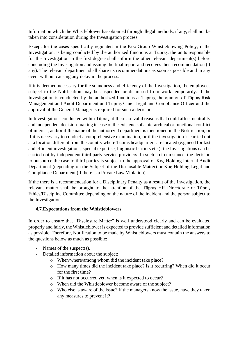Information which the Whistleblower has obtained through illegal methods, if any, shall not be taken into consideration during the Investigation process.

Except for the cases specifically regulated in the Koç Group Whistleblowing Policy, if the Investigation, is being conducted by the authorized functions at Tüpraş, the units responsible for the Investigation in the first degree shall inform the other relevant department(s) before concluding the Investigation and issuing the final report and receives their recommendation (if any). The relevant department shall share its recommendations as soon as possible and in any event without causing any delay in the process.

If it is deemed necessary for the soundness and efficiency of the Investigation, the employees subject to the Notification may be suspended or dismissed from work temporarily. If the Investigation is conducted by the authorized functions at Tüpraş, the opinion of Tüpraş Risk Management and Audit Department and Tüpraş Chief Legal and Compliance Officer and the approval of the General Manager is required for such a decision.

In Investigations conducted within Tüpraş, if there are valid reasons that could affect neutrality and independent decision-making in case of the existence of a hierarchical or functional conflict of interest, and/or if the name of the authorized department is mentioned in the Notification, or if it is necessary to conduct a comprehensive examination, or if the investigation is carried out at a location different from the country where Tüpraş headquarters are located (e.g need for fast and efficient investigations, special expertise, linguistic barriers etc.), the Investigations can be carried out by independent third party service providers. In such a circumstance, the decision to outsource the case to third parties is subject to the approval of Koç Holding Internal Audit Department (depending on the Subject of the Disclosable Matter) or Koç Holding Legal and Compliance Department (if there is a Private Law Violation).

If the there is a recommendation for a Disciplinary Penalty as a result of the Investigation, the relevant matter shall be brought to the attention of the Tüpraş HR Directorate or Tüpraş Ethics/Discipline Committee depending on the nature of the incident and the person subject to the Investigation.

### <span id="page-7-0"></span>**4.7.Expectations from the Whistleblowers**

In order to ensure that "Disclosure Matter" is well understood clearly and can be evaluated properly and fairly, the Whistleblower is expected to provide sufficient and detailed information as possible. Therefore, Notification to be made by Whistleblowers must contain the answers to the questions below as much as possible:

- Names of the suspect(s),
- Detailed information about the subject;
	- o When/where/among whom did the incident take place?
	- o How many times did the incident take place? Is it recurring? When did it occur for the first time?
	- o If it has not occurred yet, when is it expected to occur?
	- o When did the Whistleblower become aware of the subject?
	- o Who else is aware of the issue? If the managers know the issue, have they taken any measures to prevent it?